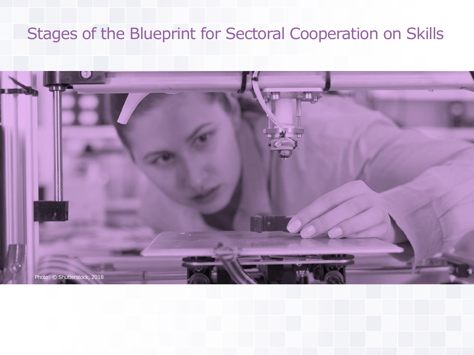## Stages of the Blueprint for Sectoral Cooperation on Skills

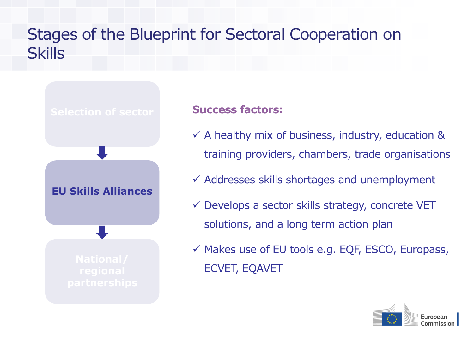## <span id="page-1-0"></span>Stages of the Blueprint for Sectoral Cooperation on **Skills**



#### **Success factors:**

- $\checkmark$  A healthy mix of business, industry, education & training providers, chambers, trade organisations
- $\checkmark$  Addresses skills shortages and unemployment
- $\checkmark$  Develops a sector skills strategy, concrete VET solutions, and a long term action plan
- $\checkmark$  Makes use of EU tools e.g. EQF, ESCO, Europass, ECVET, EQAVET

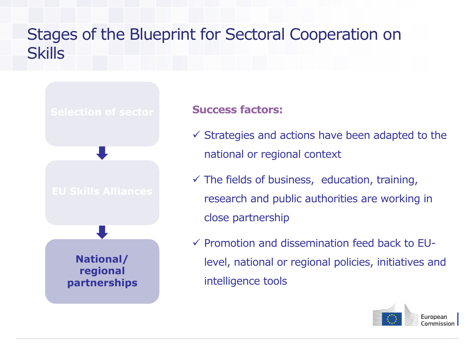## <span id="page-2-0"></span>Stages of the Blueprint for Sectoral Cooperation on **Skills**

# **National/ regional [partnerships](#page-2-0)**

#### **Success factors:**

- $\checkmark$  Strategies and actions have been adapted to the national or regional context
- $\checkmark$  The fields of business, education, training, research and public authorities are working in close partnership
- $\checkmark$  Promotion and dissemination feed back to EUlevel, national or regional policies, initiatives and intelligence tools